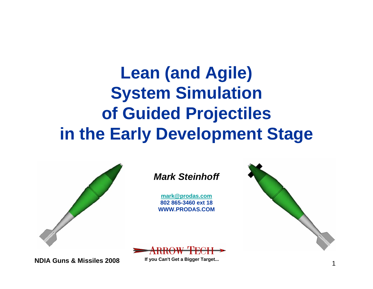### **Lean (and Agile) System Simulation of Guided Projectiles in the Early Development Stage**



**NDIA Guns & Missiles 2008**

 $\sim$  1 **If you Can't Get a Bigger Target...**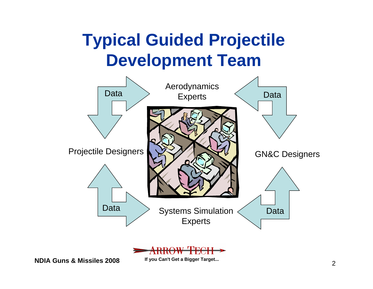### **Typical Guided Projectile Development Team**





**NDIA Guns & Missiles 2008**

 $\sim$  2 **If you Can't Get a Bigger Target...**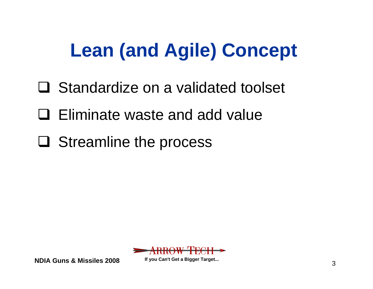# **Lean (and Agile) Concept**

- □ Standardize on a validated toolset
- Eliminate waste and add value
- **□ Streamline the process**



**NDIA Guns & Missiles 2008**

 $3^{3}$ **If you Can't Get a Bigger Target...**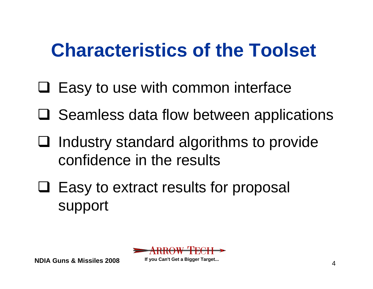# **Characteristics of the Toolset**

- $\Box$  Easy to use with common interface
- **□ Seamless data flow between applications**
- $\Box$  Industry standard algorithms to provide confidence in the results
- $\Box$  Easy to extract results for proposal support



**NDIA Guns & Missiles 2008**

 $\sim$  4 **If you Can't Get a Bigger Target...**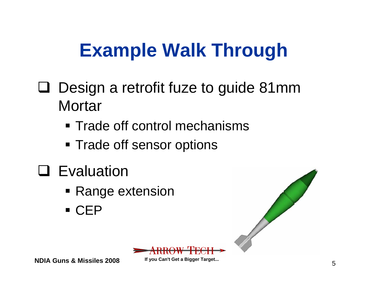# **Example Walk Through**

- □ Design a retrofit fuze to guide 81mm **Mortar** 
	- **Trade off control mechanisms**
	- **Trade off sensor options**
- **Q** Evaluation
	- **Range extension**
	- CEP





**NDIA Guns & Missiles 2008**

 $\frac{5}{5}$ **If you Can't Get a Bigger Target...**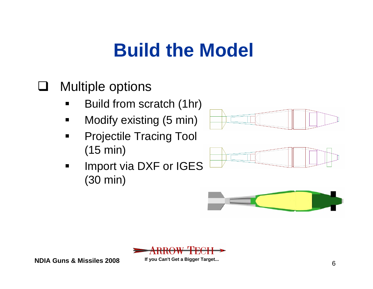# **Build the Model**

#### $\Box$ Multiple options

- $\blacksquare$ Build from scratch (1hr)
- $\mathbf{r}$ Modify existing (5 min)
- $\blacksquare$  Projectile Tracing Tool (15 min)
- $\blacksquare$  Import via DXF or IGES (30 min)









**NDIA Guns & Missiles 2008**

 $\sim$  6 **If you Can't Get a Bigger Target...**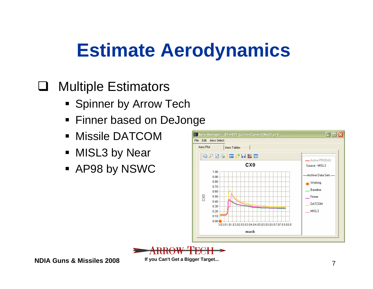# **Estimate Aerodynamics**

#### $\Box$ Multiple Estimators

- **Spinner by Arrow Tech**
- Finner based on DeJonge
- Missile DATCOM
- **NISL3 by Near**
- AP98 by NSWC





**NDIA Guns & Missiles 2008**

 $\sim$  7 **If you Can't Get a Bigger Target...**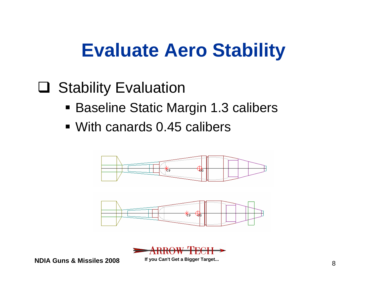# **Evaluate Aero Stability**

#### **Q** Stability Evaluation

- Baseline Static Margin 1.3 calibers
- With canards 0.45 calibers





**NDIA Guns & Missiles 2008**

 $\sim$  8 **If you Can't Get a Bigger Target...**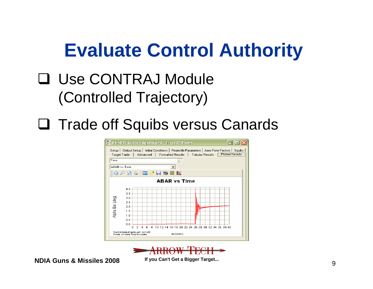# **Evaluate Control Authority**

#### Use CONTRAJ Module (Controlled Trajectory)

#### □ Trade off Squibs versus Canards





**NDIA Guns & Missiles 2008**

 $\sim$  9 **If you Can't Get a Bigger Target...**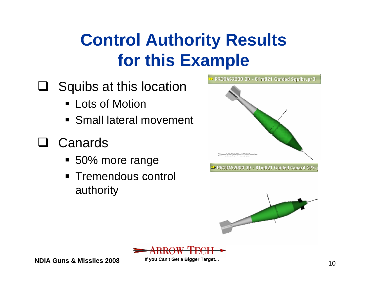### **Control Authority Results for this Example**

- $\Box$  Squibs at this location
	- Lots of Motion
	- **Small lateral movement**
- Canards
	- 50% more range
	- **Tremendous control** authority





**NDIA Guns & Missiles 2008**

 $10$ **If you Can't Get a Bigger Target...**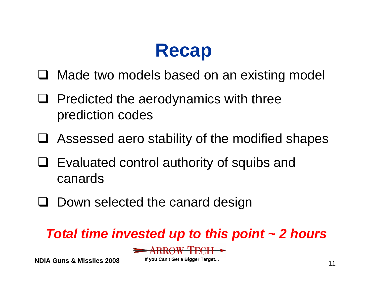# **Recap**

- □ Made two models based on an existing model
- $\Box$  Predicted the aerodynamics with three prediction codes
- Assessed aero stability of the modified shapes
- $\Box$  Evaluated control authority of squibs and canards
- **Q** Down selected the canard design

#### *Total time invested up to this point ~ 2 hours*



**NDIA Guns & Missiles 2008**

 $\sim$  11 **If you Can't Get a Bigger Target...**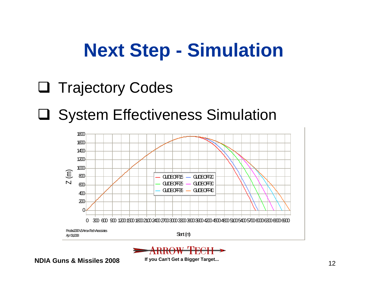# **Next Step - Simulation**

- **Q** Trajectory Codes
- System Effectiveness Simulation





**NDIA Guns & Missiles 2008**

 $\sim$  12 **If you Can't Get a Bigger Target...**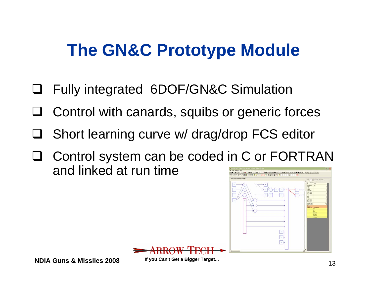## **The GN&C Prototype Module**

- $\Box$ Fully integrated 6DOF/GN&C Simulation
- □ Control with canards, squibs or generic forces
- $\Box$ Short learning curve w/ drag/drop FCS editor
- □ Control system can be coded in C or FORTRAN and linked at run time $|0|$  of  $|0|$   $|1|$   $|0|$   $|1|$   $|1|$   $|1|$





**NDIA Guns & Missiles 2008**

 $\sim$  13 **If you Can't Get a Bigger Target...**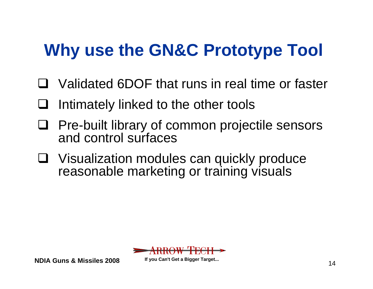## **Why use the GN&C Prototype Tool**

- Validated 6DOF that runs in real time or faster
- $\Box$ Intimately linked to the other tools
- $\Box$  Pre-built library of common projectile sensors and control surfaces
- $\Box$  Visualization modules can quickly produce reasonable marketing or training visuals



**NDIA Guns & Missiles 2008**

 $\sim$  14 **If you Can't Get a Bigger Target...**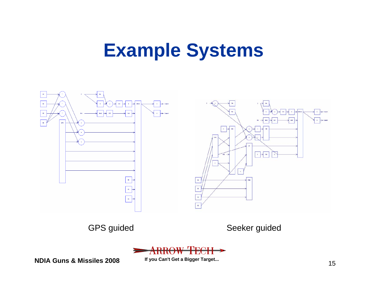# **Example Systems**



GPS guided Seeker guided



**NDIA Guns & Missiles 2008**

 $\sim$  15 **If you Can't Get a Bigger Target...**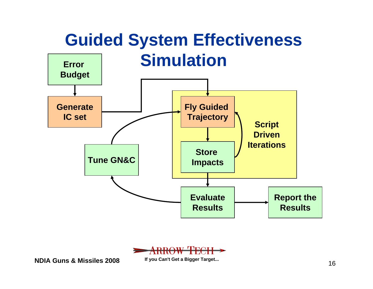#### **Guided System Effectiveness Simulation Error**





**NDIA Guns & Missiles 2008**

 $\sim$  16 **If you Can't Get a Bigger Target...**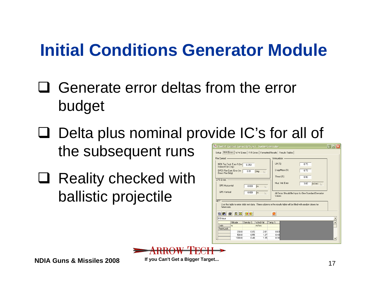### **Initial Conditions Generator Module**

- $\Box$  Generate error deltas from the error budget
- □ Delta plus nominal provide IC's for all of the subsequent runs
- □ Reality checked with ballistic projectile

| Setup M-M Errors   W-W Errors   R-R Errors   Formatted Results   Results Tables  <br><b>Ammunition</b><br>Fire Control -<br>Lift [%]<br>0.70<br>NBK Fire Cont. Error % (for<br>0.050<br>Indirect Fire Only)<br>Drag/Mass [%]<br>0.70<br>DFCS Fire Cont. Error (for<br>0.01<br>deg<br>$\lambda$<br>Direct Fire Only)<br>Thrust [%]<br>0.90<br>GPS Errors -<br>Muz. Vel. Error<br>3.00<br>$m/sec \searrow$<br><b>GPS Horizontal</b><br>0.000<br>m<br>$\lambda$<br><b>GPS</b> Vertical<br>0.000<br> m<br>$\Lambda$<br>All Errors Should Be Input As One Standard Deviation<br>Values<br><b>MET</b><br>Use this table to enter stale met data. Three columns in the results table will be filled with random draws for<br>future use.<br>- 6   ※   클룸  <br>马<br>e Ci<br>ø<br>0.5 hour<br>Altitude<br>Density %<br>Wind Vel<br>Temp %<br>$\blacktriangle$<br>Units<br>m/sec<br>$\mathbf{m}$<br>Red=Lock<br>2.01<br>200.0<br>0.85<br>0.69<br>500.0<br>0.55<br>1.37<br>0.48<br>0.38<br>1000.0<br>0.40<br>1.35<br>▼ | - 駿都 61m621 Guided Canard GPS.prd - SysSimGenerator |  | F PIA |  |  |
|-------------------------------------------------------------------------------------------------------------------------------------------------------------------------------------------------------------------------------------------------------------------------------------------------------------------------------------------------------------------------------------------------------------------------------------------------------------------------------------------------------------------------------------------------------------------------------------------------------------------------------------------------------------------------------------------------------------------------------------------------------------------------------------------------------------------------------------------------------------------------------------------------------------------------------------------------------------------------------------------------------------|-----------------------------------------------------|--|-------|--|--|
|                                                                                                                                                                                                                                                                                                                                                                                                                                                                                                                                                                                                                                                                                                                                                                                                                                                                                                                                                                                                             |                                                     |  |       |  |  |
|                                                                                                                                                                                                                                                                                                                                                                                                                                                                                                                                                                                                                                                                                                                                                                                                                                                                                                                                                                                                             |                                                     |  |       |  |  |
|                                                                                                                                                                                                                                                                                                                                                                                                                                                                                                                                                                                                                                                                                                                                                                                                                                                                                                                                                                                                             |                                                     |  |       |  |  |
|                                                                                                                                                                                                                                                                                                                                                                                                                                                                                                                                                                                                                                                                                                                                                                                                                                                                                                                                                                                                             |                                                     |  |       |  |  |
|                                                                                                                                                                                                                                                                                                                                                                                                                                                                                                                                                                                                                                                                                                                                                                                                                                                                                                                                                                                                             |                                                     |  |       |  |  |
|                                                                                                                                                                                                                                                                                                                                                                                                                                                                                                                                                                                                                                                                                                                                                                                                                                                                                                                                                                                                             |                                                     |  |       |  |  |
|                                                                                                                                                                                                                                                                                                                                                                                                                                                                                                                                                                                                                                                                                                                                                                                                                                                                                                                                                                                                             |                                                     |  |       |  |  |
|                                                                                                                                                                                                                                                                                                                                                                                                                                                                                                                                                                                                                                                                                                                                                                                                                                                                                                                                                                                                             |                                                     |  |       |  |  |
|                                                                                                                                                                                                                                                                                                                                                                                                                                                                                                                                                                                                                                                                                                                                                                                                                                                                                                                                                                                                             |                                                     |  |       |  |  |
|                                                                                                                                                                                                                                                                                                                                                                                                                                                                                                                                                                                                                                                                                                                                                                                                                                                                                                                                                                                                             |                                                     |  |       |  |  |
|                                                                                                                                                                                                                                                                                                                                                                                                                                                                                                                                                                                                                                                                                                                                                                                                                                                                                                                                                                                                             |                                                     |  |       |  |  |
|                                                                                                                                                                                                                                                                                                                                                                                                                                                                                                                                                                                                                                                                                                                                                                                                                                                                                                                                                                                                             |                                                     |  |       |  |  |
|                                                                                                                                                                                                                                                                                                                                                                                                                                                                                                                                                                                                                                                                                                                                                                                                                                                                                                                                                                                                             |                                                     |  |       |  |  |
|                                                                                                                                                                                                                                                                                                                                                                                                                                                                                                                                                                                                                                                                                                                                                                                                                                                                                                                                                                                                             |                                                     |  |       |  |  |
|                                                                                                                                                                                                                                                                                                                                                                                                                                                                                                                                                                                                                                                                                                                                                                                                                                                                                                                                                                                                             |                                                     |  |       |  |  |
|                                                                                                                                                                                                                                                                                                                                                                                                                                                                                                                                                                                                                                                                                                                                                                                                                                                                                                                                                                                                             |                                                     |  |       |  |  |
|                                                                                                                                                                                                                                                                                                                                                                                                                                                                                                                                                                                                                                                                                                                                                                                                                                                                                                                                                                                                             |                                                     |  |       |  |  |
|                                                                                                                                                                                                                                                                                                                                                                                                                                                                                                                                                                                                                                                                                                                                                                                                                                                                                                                                                                                                             |                                                     |  |       |  |  |
|                                                                                                                                                                                                                                                                                                                                                                                                                                                                                                                                                                                                                                                                                                                                                                                                                                                                                                                                                                                                             |                                                     |  |       |  |  |



 $\sim$  17 **If you Can't Get a Bigger Target...**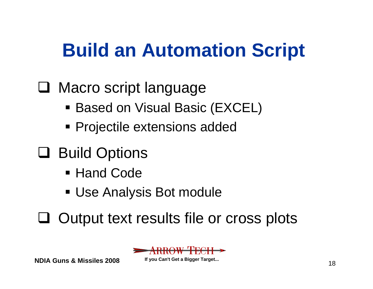# **Build an Automation Script**

#### □ Macro script language

- Based on Visual Basic (EXCEL)
- Projectile extensions added
- □ Build Options
	- Hand Code
	- Use Analysis Bot module
- Q Output text results file or cross plots



**NDIA Guns & Missiles 2008**

 $\sim$  18 **If you Can't Get a Bigger Target...**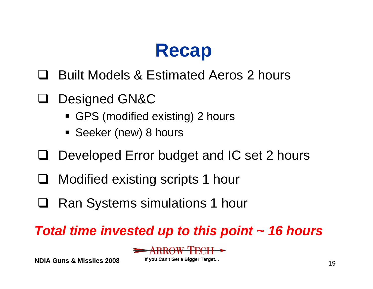# **Recap**

- Built Models & Estimated Aeros 2 hours
- Designed GN&C
	- GPS (modified existing) 2 hours
	- Seeker (new) 8 hours
- $\Box$ Developed Error budget and IC set 2 hours
- $\Box$ Modified existing scripts 1 hour
- $\Box$ Ran Systems simulations 1 hour

#### *Total time invested up to this point ~ 16 hours*



**NDIA Guns & Missiles 2008**

 $19$ **If you Can't Get a Bigger Target...**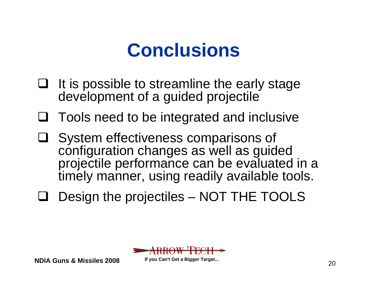# **Conclusions**

- $\Box$  It is possible to streamline the early stage development of a guided projectile
- $\Box$  Tools need to be integrated and inclusive
- $\Box$  System effectiveness comparisons of configuration changes as well as guided projectile performance can be evaluated in a timely manner, using readily available tools.
- $\Box$ Design the projectiles – NOT THE TOOLS



**NDIA Guns & Missiles 2008**

 $\sim$  20 **If you Can't Get a Bigger Target...**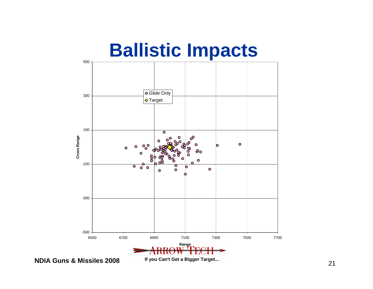

**NDIA Guns & Missiles 2008**

 $\sim$  21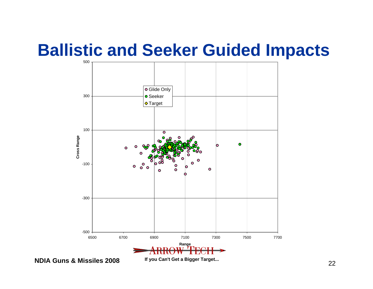#### **Ballistic and Seeker Guided Impacts**



**NDIA Guns & Missiles 2008**

 $\sim$  22 **If you Can't Get a Bigger Target...**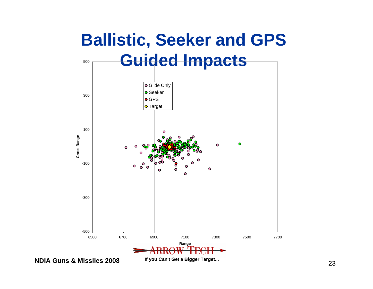

**NDIA Guns & Missiles 2008**

 $\sim$  23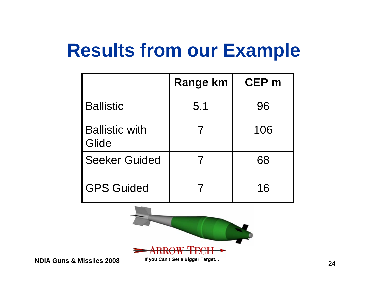# **Results from our Example**

|                                | <b>Range km</b> | <b>CEP</b> m |
|--------------------------------|-----------------|--------------|
| <b>Ballistic</b>               | 5.1             | 96           |
| <b>Ballistic with</b><br>Glide |                 | 106          |
| <b>Seeker Guided</b>           |                 | 68           |
| <b>GPS Guided</b>              |                 | 16           |



**NDIA Guns & Missiles 2008**

 $\sim$  24 **If you Can't Get a Bigger Target...**